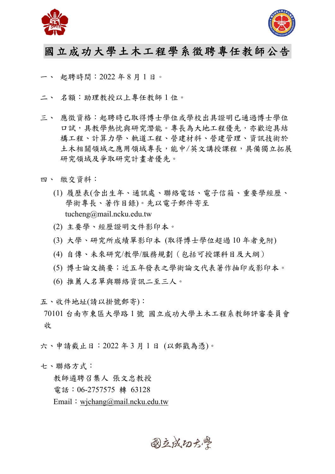



## 國立成功大學土木工程學系徵聘專任教師公告

一、 起聘時間:2022 年 8 月 1 日。

- 二、 名額:助理教授以上專任教師 1 位。
- 三、 應徵資格:起聘時已取得博士學位或學校出具證明已通過博士學位 口試,具教學熱忱與研究潛能。專長為大地工程優先,亦歡迎具結 構工程、計算力學、軌道工程、營建材料、營建管理、資訊技術於 土木相關領域之應用領域專長,能中/英文講授課程,具備獨立拓展 研究領域及爭取研究計畫者優先。
- 四、 繳交資料:
	- (1) 履歷表(含出生年、通訊處、聯絡電話、電子信箱、重要學經歷、 學術專長、著作目錄)。先以電子郵件寄至 tucheng@mail.ncku.edu.tw
	- (2) 主要學、經歷證明文件影印本。
	- (3) 大學、研究所成績單影印本 (取得博士學位超過 10 年者免附)
	- (4) 自傳、未來研究/教學/服務規劃(包括可授課科目及大綱)
	- (5) 博士論文摘要;近五年發表之學術論文代表著作抽印或影印本。
	- (6) 推薦人名單與聯絡資訊二至三人。

五、收件地址(請以掛號郵寄):

70101 台南市東區大學路 1 號 國立成功大學土木工程系教師評審委員會 收

六、申請截止日:2022 年 3 月 1 日 (以郵戳為憑)。

七、聯絡方式:

教師遴聘召集人 張文忠教授 電話:06-2757575 轉 63128 Email: wjchang@mail.ncku.edu.tw